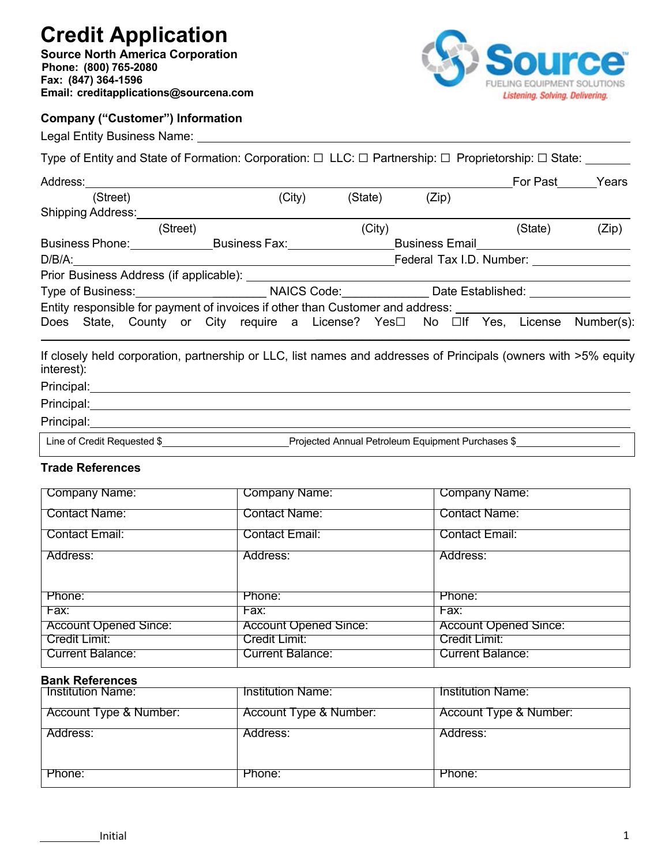# **Credit Application**

**Source North America Corporation Phone: (800) 765-2080 Fax: (847) 364-1596 Email: creditapplications@sourcena.com**



### **Company ("Customer") Information**

Legal Entity Business Name:

| Address:                                                                                 |          |                                 |         |                       | For Past                 | Years      |
|------------------------------------------------------------------------------------------|----------|---------------------------------|---------|-----------------------|--------------------------|------------|
| (Street)                                                                                 |          | (City)                          | (State) | (Zip)                 |                          |            |
| <b>Shipping Address:</b>                                                                 |          |                                 |         |                       |                          |            |
|                                                                                          | (Street) |                                 | (City)  |                       | (State)                  | (Zip)      |
| <b>Business Phone:</b>                                                                   |          | Business Fax: National Assembly |         | <b>Business Email</b> |                          |            |
| $D/B/A$ :                                                                                |          |                                 |         |                       | Federal Tax I.D. Number: |            |
|                                                                                          |          |                                 |         |                       |                          |            |
| Type of Business: NAICS Code: Date Established:                                          |          |                                 |         |                       |                          |            |
| Entity responsible for payment of invoices if other than Customer and address:           |          |                                 |         |                       |                          |            |
| Does State, County or City require a License? Yes $\square$ No $\square$ If Yes, License |          |                                 |         |                       |                          | Number(s): |

If closely held corporation, partnership or LLC, list names and addresses of Principals (owners with >5% equity interest):

## Principal: <u>contract and contract and contract and contract and contract and contract and contract and contract and contract and contract and contract and contract and contract and contract and contract and contract and co</u>

Principal:

#### Principal:

Line of Credit Requested \$ Projected Annual Petroleum Equipment Purchases \$

#### **Trade References**

| <b>Company Name:</b>         | Company Name:                | <b>Company Name:</b>         |
|------------------------------|------------------------------|------------------------------|
| <b>Contact Name:</b>         | <b>Contact Name:</b>         | Contact Name:                |
| <b>Contact Email:</b>        | <b>Contact Email:</b>        | <b>Contact Email:</b>        |
| Address:                     | Address:                     | Address:                     |
|                              |                              |                              |
| Phone:                       | Phone:                       | Phone:                       |
| Fax:                         | Fax:                         | Fax:                         |
| <b>Account Opened Since:</b> | <b>Account Opened Since:</b> | <b>Account Opened Since:</b> |
| Credit Limit:                | Credit Limit:                | Credit Limit:                |
| <b>Current Balance:</b>      | Current Balance:             | Current Balance:             |

#### **Bank References**

| <b>Institution Name:</b> | Institution Name:      | <b>Institution Name:</b> |
|--------------------------|------------------------|--------------------------|
| Account Type & Number:   | Account Type & Number: | Account Type & Number:   |
| Address:                 | Address:               | Address:                 |
| Phone:                   | Phone:                 | Phone:                   |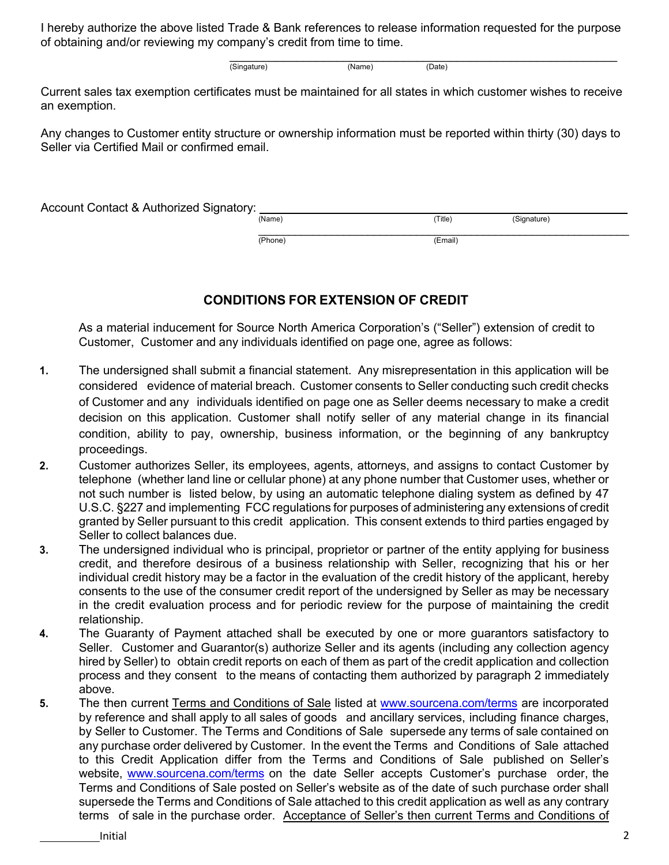I hereby authorize the above listed Trade & Bank references to release information requested for the purpose of obtaining and/or reviewing my company's credit from time to time.

> $\mathcal{L}_\text{max}$  and  $\mathcal{L}_\text{max}$  and  $\mathcal{L}_\text{max}$  and  $\mathcal{L}_\text{max}$  and  $\mathcal{L}_\text{max}$ (Singature) (Name) (Date)

Current sales tax exemption certificates must be maintained for all states in which customer wishes to receive an exemption.

Any changes to Customer entity structure or ownership information must be reported within thirty (30) days to Seller via Certified Mail or confirmed email.

Account Contact & Authorized Signatory: <br>
Name) (Signature) \_\_\_\_\_\_\_\_\_\_\_\_\_\_\_\_\_\_\_\_\_\_\_\_\_\_\_\_\_\_\_\_\_\_\_\_\_\_\_\_\_\_\_\_\_\_\_\_\_\_\_\_\_\_\_\_\_\_\_\_\_

(Phone) (Email)

## **CONDITIONS FOR EXTENSION OF CREDIT**

As a material inducement for Source North America Corporation's ("Seller") extension of credit to Customer, Customer and any individuals identified on page one, agree as follows:

- **1.** The undersigned shall submit a financial statement. Any misrepresentation in this application will be considered evidence of material breach. Customer consents to Seller conducting such credit checks of Customer and any individuals identified on page one as Seller deems necessary to make a credit decision on this application. Customer shall notify seller of any material change in its financial condition, ability to pay, ownership, business information, or the beginning of any bankruptcy proceedings.
- **2.** Customer authorizes Seller, its employees, agents, attorneys, and assigns to contact Customer by telephone (whether land line or cellular phone) at any phone number that Customer uses, whether or not such number is listed below, by using an automatic telephone dialing system as defined by 47 U.S.C. §227 and implementing FCC regulations for purposes of administering any extensions of credit granted by Seller pursuant to this credit application. This consent extends to third parties engaged by Seller to collect balances due.
- **3.** The undersigned individual who is principal, proprietor or partner of the entity applying for business credit, and therefore desirous of a business relationship with Seller, recognizing that his or her individual credit history may be a factor in the evaluation of the credit history of the applicant, hereby consents to the use of the consumer credit report of the undersigned by Seller as may be necessary in the credit evaluation process and for periodic review for the purpose of maintaining the credit relationship.
- **4.** The Guaranty of Payment attached shall be executed by one or more guarantors satisfactory to Seller. Customer and Guarantor(s) authorize Seller and its agents (including any collection agency hired by Seller) to obtain credit reports on each of them as part of the credit application and collection process and they consent to the means of contacting them authorized by paragraph 2 immediately above.
- **5.** The then current Terms and Conditions of Sale listed at www.sourcena.com/terms are incorporated by reference and shall apply to all sales of goods and ancillary services, including finance charges, by Seller to Customer. The Terms and Conditions of Sale supersede any terms of sale contained on any purchase order delivered by Customer. In the event the Terms and Conditions of Sale attached to this Credit Application differ from the Terms and Conditions of Sale published on Seller's website, www.sourcena.com/terms on the date Seller accepts Customer's purchase order, the Terms and Conditions of Sale posted on Seller's website as of the date of such purchase order shall supersede the Terms and Conditions of Sale attached to this credit application as well as any contrary terms of sale in the purchase order. Acceptance of Seller's then current Terms and Conditions of